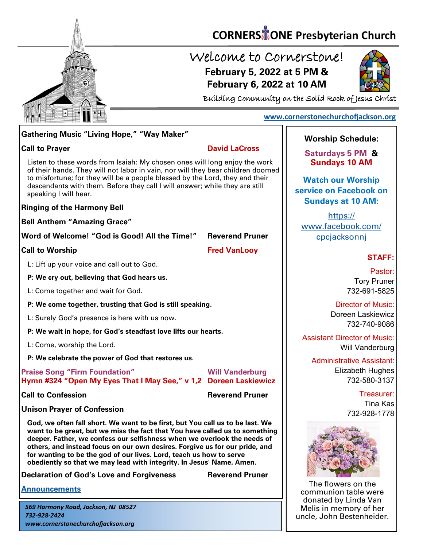

# **CORNERS** TONE Presbyterian Church

## Welcome to Cornerstone! **February 5, 2022 at 5 PM & February 6, 2022 at 10 AM**



Building Community on the Solid Rock of Jesus Christ

### **[www.cornerstonechurchofjackson.org](http://www.cornerstonechurchofjackson.org)**

## **Gathering Music "Living Hope," "Way Maker"**

### **Call to Prayer David LaCross**

 of their hands. They will not labor in vain, nor will they bear children doomed Listen to these words from Isaiah: My chosen ones will long enjoy the work to misfortune; for they will be a people blessed by the Lord, they and their descendants with them. Before they call I will answer; while they are still speaking I will hear.

### **Ringing of the Harmony Bell**

**Bell Anthem "Amazing Grace"**

**Word of Welcome! "God is Good! All the Time!" Reverend Pruner**

**Call to Worship Call to Worship Call to Worship Call to Worship Call to Worship Call to Worship Call to Worship Call to Worship Call to Worship Call to Worship Call to Worship Call to Worship Call to Worship Call to Worsh** 

L: Lift up your voice and call out to God.

**P: We cry out, believing that God hears us.**

L: Come together and wait for God.

**P: We come together, trusting that God is still speaking.**

L: Surely God's presence is here with us now.

**P: We wait in hope, for God's steadfast love lifts our hearts.**

L: Come, worship the Lord.

**P: We celebrate the power of God that restores us.**

**Praise Song "Firm Foundation" Will Vanderburg Hymn #324 "Open My Eyes That I May See," v 1,2 Doreen Laskiewicz**

**Call to Confession Reverend Pruner** 

**Unison Prayer of Confession**

**God, we often fall short. We want to be first, but You call us to be last. We want to be great, but we miss the fact that You have called us to something deeper. Father, we confess our selfishness when we overlook the needs of others, and instead focus on our own desires. Forgive us for our pride, and for wanting to be the god of our lives. Lord, teach us how to serve obediently so that we may lead with integrity. In Jesus' Name, Amen.**

**Declaration of God's Love and Forgiveness <b>Reverend Pruner** 

**[Announcements](http://cornerstonechurchofjackson.org/?page_id=2)**

*569 Harmony Road, Jackson, NJ 08527 732-928-2424 www.cornerstonechurchofjackson.org*

### **Worship Schedule:**

**Saturdays 5 PM & Sundays 10 AM**

**Watch our Worship service on Facebook on Sundays at 10 AM:**

[https://](https://www.facebook.com/cpcjacksonnj) [www.facebook.com/](https://www.facebook.com/cpcjacksonnj) [cpcjacksonnj](https://www.facebook.com/cpcjacksonnj)

### **STAFF:**

Pastor: Tory Pruner 732-691-5825

Director of Music: Doreen Laskiewicz 732-740-9086

Assistant Director of Music: Will Vanderburg

Administrative Assistant: Elizabeth Hughes 732-580-3137

> Treasurer: Tina Kas 732-928-1778



The flowers on the communion table were donated by Linda Van Melis in memory of her uncle, John Bestenheider.